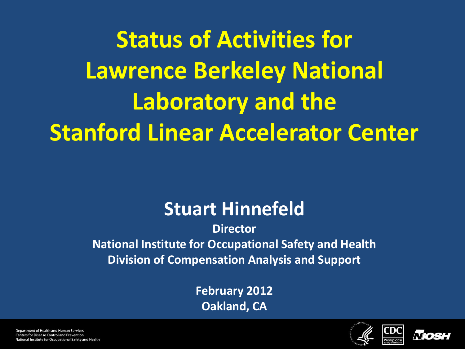**Status of Activities for Lawrence Berkeley National Laboratory and the Stanford Linear Accelerator Center**

#### **Stuart Hinnefeld**

**Director National Institute for Occupational Safety and Health Division of Compensation Analysis and Support**

> **February 2012 Oakland, CA**



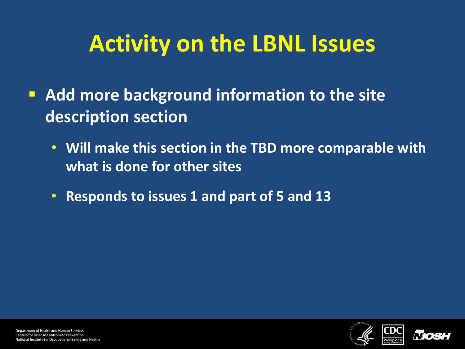## **Activity on the LBNL Issues**

- **Add more background information to the site description section**
	- **Will make this section in the TBD more comparable with what is done for other sites**
	- **Responds to issues 1 and part of 5 and 13**

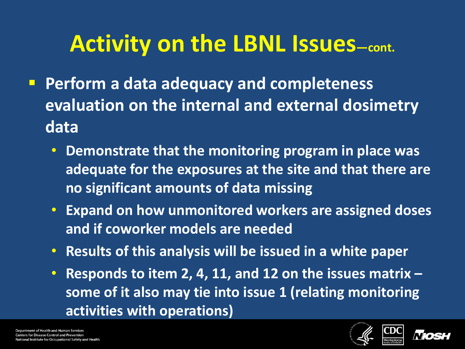# Activity on the LBNL Issues-cont.

- **Perform a data adequacy and completeness evaluation on the internal and external dosimetry data** 
	- **Demonstrate that the monitoring program in place was adequate for the exposures at the site and that there are no significant amounts of data missing**
	- **Expand on how unmonitored workers are assigned doses and if coworker models are needed**
	- **Results of this analysis will be issued in a white paper**
	- **Responds to item 2, 4, 11, and 12 on the issues matrix – some of it also may tie into issue 1 (relating monitoring activities with operations)**



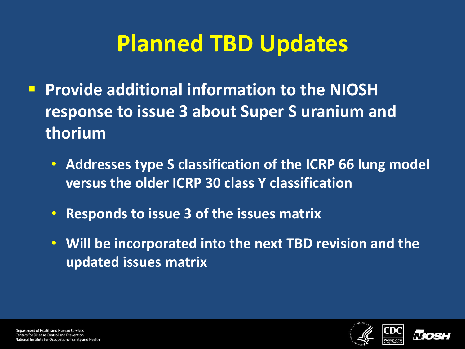# **Planned TBD Updates**

- **Provide additional information to the NIOSH response to issue 3 about Super S uranium and thorium**
	- **Addresses type S classification of the ICRP 66 lung model versus the older ICRP 30 class Y classification**
	- **Responds to issue 3 of the issues matrix**
	- **Will be incorporated into the next TBD revision and the updated issues matrix**



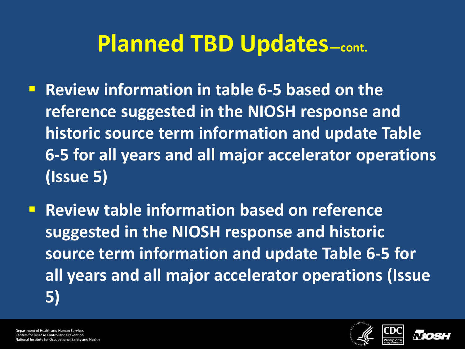#### **Planned TBD Updates—cont.**

- **Review information in table 6-5 based on the reference suggested in the NIOSH response and historic source term information and update Table 6-5 for all years and all major accelerator operations (Issue 5)**
- **Review table information based on reference suggested in the NIOSH response and historic source term information and update Table 6-5 for all years and all major accelerator operations (Issue 5)**

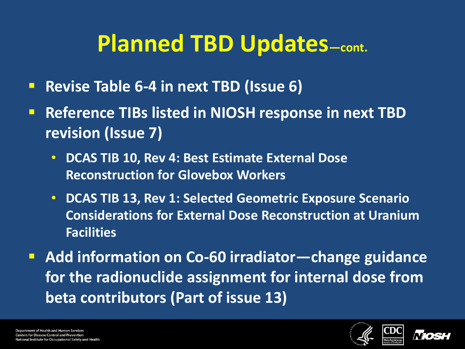## **Planned TBD Updates—cont.**

- **Revise Table 6-4 in next TBD (Issue 6)**
- **Reference TIBs listed in NIOSH response in next TBD revision (Issue 7)**
	- **DCAS TIB 10, Rev 4: Best Estimate External Dose Reconstruction for Glovebox Workers**
	- **DCAS TIB 13, Rev 1: Selected Geometric Exposure Scenario Considerations for External Dose Reconstruction at Uranium Facilities**

 **Add information on Co-60 irradiator—change guidance for the radionuclide assignment for internal dose from beta contributors (Part of issue 13)**



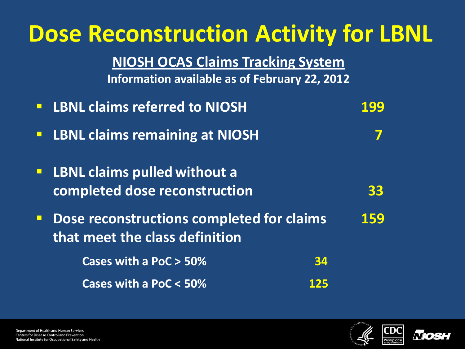| <b>Dose Reconstruction Activity for LBNL</b><br><b>NIOSH OCAS Claims Tracking System</b><br>Information available as of February 22, 2012 |     |
|-------------------------------------------------------------------------------------------------------------------------------------------|-----|
| <b>LBNL claims referred to NIOSH</b><br>$\Box$                                                                                            | 199 |
| <b>LBNL claims remaining at NIOSH</b><br>$\Box$                                                                                           | 7   |
| <b>LBNL claims pulled without a</b><br>$\Box$<br>completed dose reconstruction                                                            | 33  |
| Dose reconstructions completed for claims<br>$\Box$<br>that meet the class definition                                                     | 159 |
| Cases with a PoC > 50%                                                                                                                    | 34  |
| Cases with a PoC < 50%                                                                                                                    | 125 |